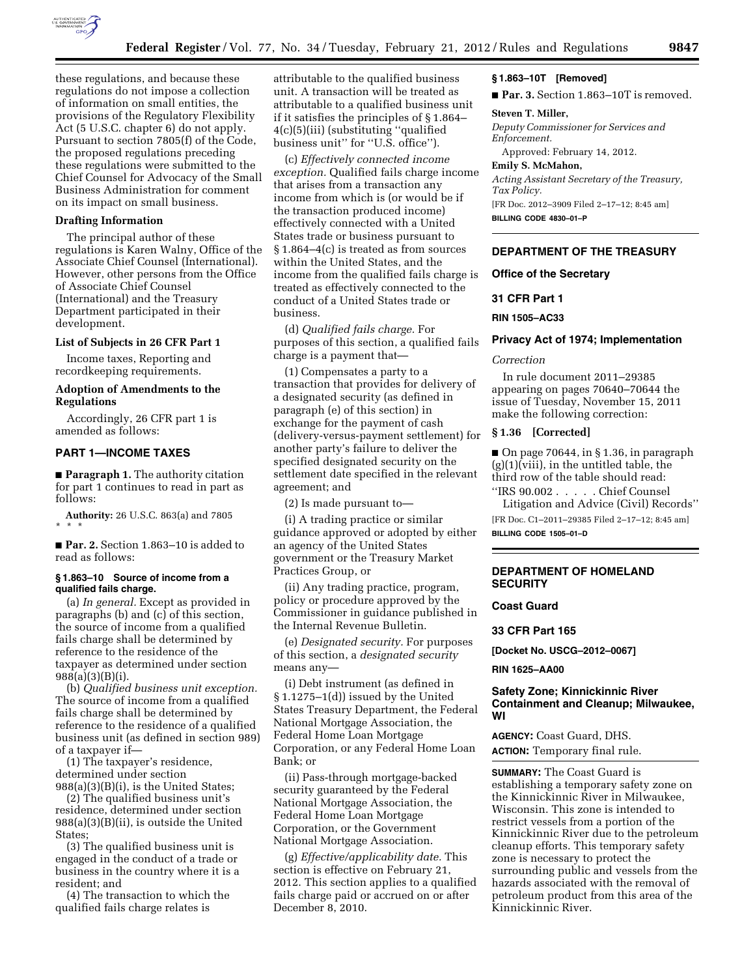

these regulations, and because these regulations do not impose a collection of information on small entities, the provisions of the Regulatory Flexibility Act (5 U.S.C. chapter 6) do not apply. Pursuant to section 7805(f) of the Code, the proposed regulations preceding these regulations were submitted to the Chief Counsel for Advocacy of the Small Business Administration for comment on its impact on small business.

## **Drafting Information**

The principal author of these regulations is Karen Walny, Office of the Associate Chief Counsel (International). However, other persons from the Office of Associate Chief Counsel (International) and the Treasury Department participated in their development.

### **List of Subjects in 26 CFR Part 1**

Income taxes, Reporting and recordkeeping requirements.

### **Adoption of Amendments to the Regulations**

Accordingly, 26 CFR part 1 is amended as follows:

# **PART 1—INCOME TAXES**

■ **Paragraph 1.** The authority citation for part 1 continues to read in part as follows:

**Authority:** 26 U.S.C. 863(a) and 7805 \* \* \*

■ **Par. 2.** Section 1.863–10 is added to read as follows:

## **§ 1.863–10 Source of income from a qualified fails charge.**

(a) *In general.* Except as provided in paragraphs (b) and (c) of this section, the source of income from a qualified fails charge shall be determined by reference to the residence of the taxpayer as determined under section 988(a)(3)(B)(i).

(b) *Qualified business unit exception.*  The source of income from a qualified fails charge shall be determined by reference to the residence of a qualified business unit (as defined in section 989) of a taxpayer if—

(1) The taxpayer's residence, determined under section 988(a)(3)(B)(i), is the United States;

(2) The qualified business unit's residence, determined under section 988(a)(3)(B)(ii), is outside the United States;

(3) The qualified business unit is engaged in the conduct of a trade or business in the country where it is a resident; and

(4) The transaction to which the qualified fails charge relates is

attributable to the qualified business unit. A transaction will be treated as attributable to a qualified business unit if it satisfies the principles of § 1.864– 4(c)(5)(iii) (substituting ''qualified business unit'' for ''U.S. office'').

(c) *Effectively connected income exception.* Qualified fails charge income that arises from a transaction any income from which is (or would be if the transaction produced income) effectively connected with a United States trade or business pursuant to § 1.864–4(c) is treated as from sources within the United States, and the income from the qualified fails charge is treated as effectively connected to the conduct of a United States trade or business.

(d) *Qualified fails charge.* For purposes of this section, a qualified fails charge is a payment that—

(1) Compensates a party to a transaction that provides for delivery of a designated security (as defined in paragraph (e) of this section) in exchange for the payment of cash (delivery-versus-payment settlement) for another party's failure to deliver the specified designated security on the settlement date specified in the relevant agreement; and

(2) Is made pursuant to—

(i) A trading practice or similar guidance approved or adopted by either an agency of the United States government or the Treasury Market Practices Group, or

(ii) Any trading practice, program, policy or procedure approved by the Commissioner in guidance published in the Internal Revenue Bulletin.

(e) *Designated security.* For purposes of this section, a *designated security*  means any—

(i) Debt instrument (as defined in § 1.1275–1(d)) issued by the United States Treasury Department, the Federal National Mortgage Association, the Federal Home Loan Mortgage Corporation, or any Federal Home Loan Bank; or

(ii) Pass-through mortgage-backed security guaranteed by the Federal National Mortgage Association, the Federal Home Loan Mortgage Corporation, or the Government National Mortgage Association.

(g) *Effective/applicability date.* This section is effective on February 21, 2012. This section applies to a qualified fails charge paid or accrued on or after December 8, 2010.

#### **§ 1.863–10T [Removed]**

■ **Par. 3.** Section 1.863-10T is removed.

#### **Steven T. Miller,**

*Deputy Commissioner for Services and Enforcement.* 

Approved: February 14, 2012.

#### **Emily S. McMahon,**

*Acting Assistant Secretary of the Treasury, Tax Policy.* 

[FR Doc. 2012–3909 Filed 2–17–12; 8:45 am] **BILLING CODE 4830–01–P** 

# **DEPARTMENT OF THE TREASURY**

### **Office of the Secretary**

#### **31 CFR Part 1**

**RIN 1505–AC33** 

### **Privacy Act of 1974; Implementation**

### *Correction*

In rule document 2011–29385 appearing on pages 70640–70644 the issue of Tuesday, November 15, 2011 make the following correction:

### **§ 1.36 [Corrected]**

 $\Box$  On page 70644, in § 1.36, in paragraph  $(g)(1)(viii)$ , in the untitled table, the third row of the table should read:

''IRS 90.002 . . . . . Chief Counsel Litigation and Advice (Civil) Records''

[FR Doc. C1–2011–29385 Filed 2–17–12; 8:45 am] **BILLING CODE 1505–01–D** 

# **DEPARTMENT OF HOMELAND SECURITY**

# **Coast Guard**

**33 CFR Part 165** 

**[Docket No. USCG–2012–0067]** 

**RIN 1625–AA00** 

## **Safety Zone; Kinnickinnic River Containment and Cleanup; Milwaukee, WI**

**AGENCY:** Coast Guard, DHS. **ACTION:** Temporary final rule.

**SUMMARY:** The Coast Guard is establishing a temporary safety zone on the Kinnickinnic River in Milwaukee, Wisconsin. This zone is intended to restrict vessels from a portion of the Kinnickinnic River due to the petroleum cleanup efforts. This temporary safety zone is necessary to protect the surrounding public and vessels from the hazards associated with the removal of petroleum product from this area of the Kinnickinnic River.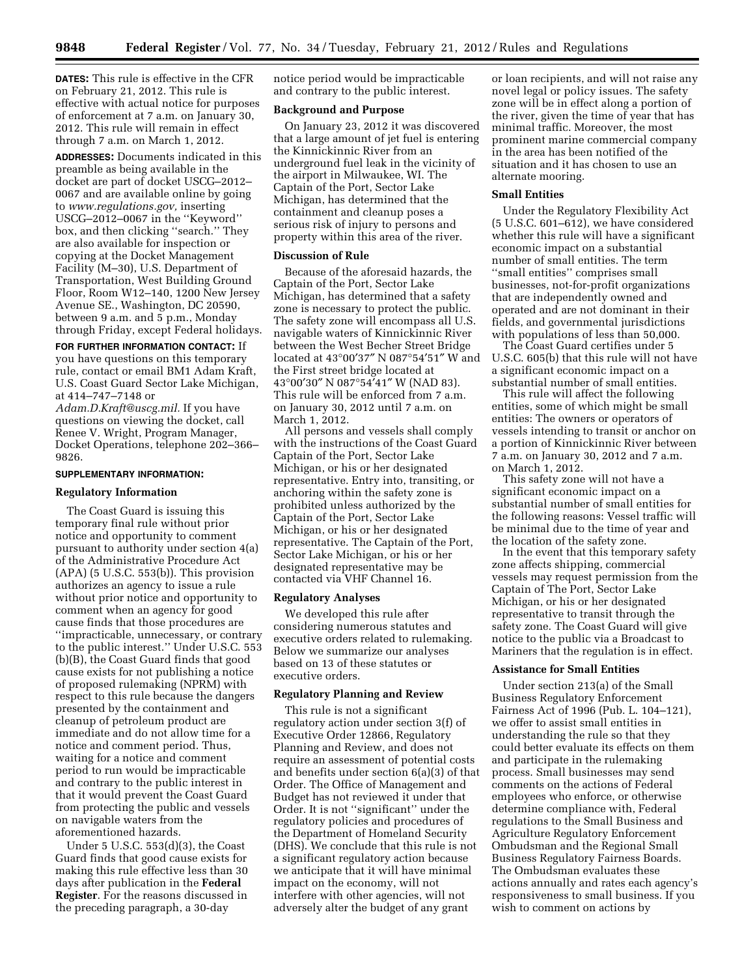**DATES:** This rule is effective in the CFR on February 21, 2012. This rule is effective with actual notice for purposes of enforcement at 7 a.m. on January 30, 2012. This rule will remain in effect through 7 a.m. on March 1, 2012.

**ADDRESSES:** Documents indicated in this preamble as being available in the docket are part of docket USCG–2012– 0067 and are available online by going to *[www.regulations.gov,](http://www.regulations.gov)* inserting USCG–2012–0067 in the ''Keyword'' box, and then clicking ''search.'' They are also available for inspection or copying at the Docket Management Facility (M–30), U.S. Department of Transportation, West Building Ground Floor, Room W12–140, 1200 New Jersey Avenue SE., Washington, DC 20590, between 9 a.m. and 5 p.m., Monday through Friday, except Federal holidays.

**FOR FURTHER INFORMATION CONTACT:** If you have questions on this temporary rule, contact or email BM1 Adam Kraft, U.S. Coast Guard Sector Lake Michigan, at 414–747–7148 or

*[Adam.D.Kraft@uscg.mil.](mailto:Adam.D.Kraft@uscg.mil)* If you have questions on viewing the docket, call Renee V. Wright, Program Manager, Docket Operations, telephone 202–366– 9826.

### **SUPPLEMENTARY INFORMATION:**

### **Regulatory Information**

The Coast Guard is issuing this temporary final rule without prior notice and opportunity to comment pursuant to authority under section 4(a) of the Administrative Procedure Act  $(APA)$  (5 U.S.C. 553(b)). This provision authorizes an agency to issue a rule without prior notice and opportunity to comment when an agency for good cause finds that those procedures are ''impracticable, unnecessary, or contrary to the public interest.'' Under U.S.C. 553 (b)(B), the Coast Guard finds that good cause exists for not publishing a notice of proposed rulemaking (NPRM) with respect to this rule because the dangers presented by the containment and cleanup of petroleum product are immediate and do not allow time for a notice and comment period. Thus, waiting for a notice and comment period to run would be impracticable and contrary to the public interest in that it would prevent the Coast Guard from protecting the public and vessels on navigable waters from the aforementioned hazards.

Under 5 U.S.C. 553(d)(3), the Coast Guard finds that good cause exists for making this rule effective less than 30 days after publication in the **Federal Register**. For the reasons discussed in the preceding paragraph, a 30-day

notice period would be impracticable and contrary to the public interest.

#### **Background and Purpose**

On January 23, 2012 it was discovered that a large amount of jet fuel is entering the Kinnickinnic River from an underground fuel leak in the vicinity of the airport in Milwaukee, WI. The Captain of the Port, Sector Lake Michigan, has determined that the containment and cleanup poses a serious risk of injury to persons and property within this area of the river.

### **Discussion of Rule**

Because of the aforesaid hazards, the Captain of the Port, Sector Lake Michigan, has determined that a safety zone is necessary to protect the public. The safety zone will encompass all U.S. navigable waters of Kinnickinnic River between the West Becher Street Bridge located at 43°00′37″ N 087°54′51″ W and the First street bridge located at 43°00′30″ N 087°54′41″ W (NAD 83). This rule will be enforced from 7 a.m. on January 30, 2012 until 7 a.m. on March 1, 2012.

All persons and vessels shall comply with the instructions of the Coast Guard Captain of the Port, Sector Lake Michigan, or his or her designated representative. Entry into, transiting, or anchoring within the safety zone is prohibited unless authorized by the Captain of the Port, Sector Lake Michigan, or his or her designated representative. The Captain of the Port, Sector Lake Michigan, or his or her designated representative may be contacted via VHF Channel 16.

#### **Regulatory Analyses**

We developed this rule after considering numerous statutes and executive orders related to rulemaking. Below we summarize our analyses based on 13 of these statutes or executive orders.

## **Regulatory Planning and Review**

This rule is not a significant regulatory action under section 3(f) of Executive Order 12866, Regulatory Planning and Review, and does not require an assessment of potential costs and benefits under section 6(a)(3) of that Order. The Office of Management and Budget has not reviewed it under that Order. It is not ''significant'' under the regulatory policies and procedures of the Department of Homeland Security (DHS). We conclude that this rule is not a significant regulatory action because we anticipate that it will have minimal impact on the economy, will not interfere with other agencies, will not adversely alter the budget of any grant

or loan recipients, and will not raise any novel legal or policy issues. The safety zone will be in effect along a portion of the river, given the time of year that has minimal traffic. Moreover, the most prominent marine commercial company in the area has been notified of the situation and it has chosen to use an alternate mooring.

### **Small Entities**

Under the Regulatory Flexibility Act (5 U.S.C. 601–612), we have considered whether this rule will have a significant economic impact on a substantial number of small entities. The term ''small entities'' comprises small businesses, not-for-profit organizations that are independently owned and operated and are not dominant in their fields, and governmental jurisdictions with populations of less than 50,000.

The Coast Guard certifies under 5 U.S.C. 605(b) that this rule will not have a significant economic impact on a substantial number of small entities.

This rule will affect the following entities, some of which might be small entities: The owners or operators of vessels intending to transit or anchor on a portion of Kinnickinnic River between 7 a.m. on January 30, 2012 and 7 a.m. on March 1, 2012.

This safety zone will not have a significant economic impact on a substantial number of small entities for the following reasons: Vessel traffic will be minimal due to the time of year and the location of the safety zone.

In the event that this temporary safety zone affects shipping, commercial vessels may request permission from the Captain of The Port, Sector Lake Michigan, or his or her designated representative to transit through the safety zone. The Coast Guard will give notice to the public via a Broadcast to Mariners that the regulation is in effect.

### **Assistance for Small Entities**

Under section 213(a) of the Small Business Regulatory Enforcement Fairness Act of 1996 (Pub. L. 104–121), we offer to assist small entities in understanding the rule so that they could better evaluate its effects on them and participate in the rulemaking process. Small businesses may send comments on the actions of Federal employees who enforce, or otherwise determine compliance with, Federal regulations to the Small Business and Agriculture Regulatory Enforcement Ombudsman and the Regional Small Business Regulatory Fairness Boards. The Ombudsman evaluates these actions annually and rates each agency's responsiveness to small business. If you wish to comment on actions by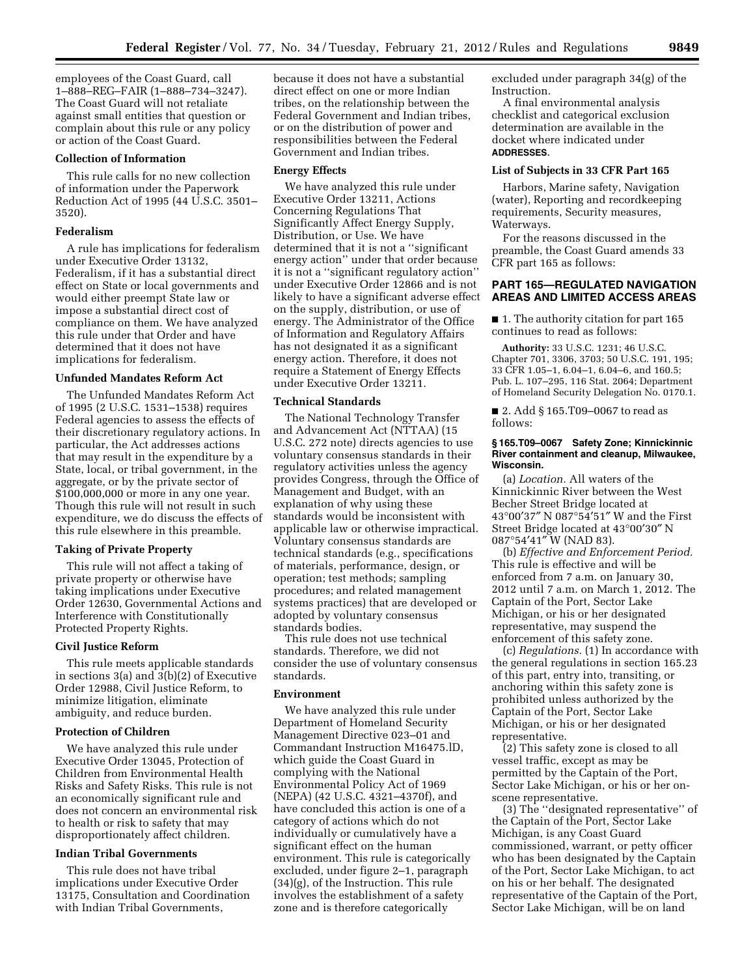employees of the Coast Guard, call 1–888–REG–FAIR (1–888–734–3247). The Coast Guard will not retaliate against small entities that question or complain about this rule or any policy or action of the Coast Guard.

## **Collection of Information**

This rule calls for no new collection of information under the Paperwork Reduction Act of 1995 (44 U.S.C. 3501– 3520).

### **Federalism**

A rule has implications for federalism under Executive Order 13132, Federalism, if it has a substantial direct effect on State or local governments and would either preempt State law or impose a substantial direct cost of compliance on them. We have analyzed this rule under that Order and have determined that it does not have implications for federalism.

### **Unfunded Mandates Reform Act**

The Unfunded Mandates Reform Act of 1995 (2 U.S.C. 1531–1538) requires Federal agencies to assess the effects of their discretionary regulatory actions. In particular, the Act addresses actions that may result in the expenditure by a State, local, or tribal government, in the aggregate, or by the private sector of \$100,000,000 or more in any one year. Though this rule will not result in such expenditure, we do discuss the effects of this rule elsewhere in this preamble.

## **Taking of Private Property**

This rule will not affect a taking of private property or otherwise have taking implications under Executive Order 12630, Governmental Actions and Interference with Constitutionally Protected Property Rights.

#### **Civil Justice Reform**

This rule meets applicable standards in sections 3(a) and 3(b)(2) of Executive Order 12988, Civil Justice Reform, to minimize litigation, eliminate ambiguity, and reduce burden.

# **Protection of Children**

We have analyzed this rule under Executive Order 13045, Protection of Children from Environmental Health Risks and Safety Risks. This rule is not an economically significant rule and does not concern an environmental risk to health or risk to safety that may disproportionately affect children.

# **Indian Tribal Governments**

This rule does not have tribal implications under Executive Order 13175, Consultation and Coordination with Indian Tribal Governments,

because it does not have a substantial direct effect on one or more Indian tribes, on the relationship between the Federal Government and Indian tribes, or on the distribution of power and responsibilities between the Federal Government and Indian tribes.

# **Energy Effects**

We have analyzed this rule under Executive Order 13211, Actions Concerning Regulations That Significantly Affect Energy Supply, Distribution, or Use. We have determined that it is not a ''significant energy action'' under that order because it is not a ''significant regulatory action'' under Executive Order 12866 and is not likely to have a significant adverse effect on the supply, distribution, or use of energy. The Administrator of the Office of Information and Regulatory Affairs has not designated it as a significant energy action. Therefore, it does not require a Statement of Energy Effects under Executive Order 13211.

# **Technical Standards**

The National Technology Transfer and Advancement Act (NTTAA) (15 U.S.C. 272 note) directs agencies to use voluntary consensus standards in their regulatory activities unless the agency provides Congress, through the Office of Management and Budget, with an explanation of why using these standards would be inconsistent with applicable law or otherwise impractical. Voluntary consensus standards are technical standards (e.g., specifications of materials, performance, design, or operation; test methods; sampling procedures; and related management systems practices) that are developed or adopted by voluntary consensus standards bodies.

This rule does not use technical standards. Therefore, we did not consider the use of voluntary consensus standards.

#### **Environment**

We have analyzed this rule under Department of Homeland Security Management Directive 023–01 and Commandant Instruction M16475.lD, which guide the Coast Guard in complying with the National Environmental Policy Act of 1969 (NEPA) (42 U.S.C. 4321–4370f), and have concluded this action is one of a category of actions which do not individually or cumulatively have a significant effect on the human environment. This rule is categorically excluded, under figure 2–1, paragraph (34)(g), of the Instruction. This rule involves the establishment of a safety zone and is therefore categorically

excluded under paragraph 34(g) of the Instruction.

A final environmental analysis checklist and categorical exclusion determination are available in the docket where indicated under **ADDRESSES**.

#### **List of Subjects in 33 CFR Part 165**

Harbors, Marine safety, Navigation (water), Reporting and recordkeeping requirements, Security measures, Waterways.

For the reasons discussed in the preamble, the Coast Guard amends 33 CFR part 165 as follows:

## **PART 165—REGULATED NAVIGATION AREAS AND LIMITED ACCESS AREAS**

■ 1. The authority citation for part 165 continues to read as follows:

**Authority:** 33 U.S.C. 1231; 46 U.S.C. Chapter 701, 3306, 3703; 50 U.S.C. 191, 195; 33 CFR 1.05–1, 6.04–1, 6.04–6, and 160.5; Pub. L. 107–295, 116 Stat. 2064; Department of Homeland Security Delegation No. 0170.1.

■ 2. Add § 165.T09-0067 to read as follows:

## **§ 165.T09–0067 Safety Zone; Kinnickinnic River containment and cleanup, Milwaukee, Wisconsin.**

(a) *Location.* All waters of the Kinnickinnic River between the West Becher Street Bridge located at 43°00′37″ N 087°54′51″ W and the First Street Bridge located at 43°00′30″ N 087°54′41″ W (NAD 83).

(b) *Effective and Enforcement Period.*  This rule is effective and will be enforced from 7 a.m. on January 30, 2012 until 7 a.m. on March 1, 2012. The Captain of the Port, Sector Lake Michigan, or his or her designated representative, may suspend the enforcement of this safety zone.

(c) *Regulations.* (1) In accordance with the general regulations in section 165.23 of this part, entry into, transiting, or anchoring within this safety zone is prohibited unless authorized by the Captain of the Port, Sector Lake Michigan, or his or her designated representative.

(2) This safety zone is closed to all vessel traffic, except as may be permitted by the Captain of the Port, Sector Lake Michigan, or his or her onscene representative.

(3) The ''designated representative'' of the Captain of the Port, Sector Lake Michigan, is any Coast Guard commissioned, warrant, or petty officer who has been designated by the Captain of the Port, Sector Lake Michigan, to act on his or her behalf. The designated representative of the Captain of the Port, Sector Lake Michigan, will be on land